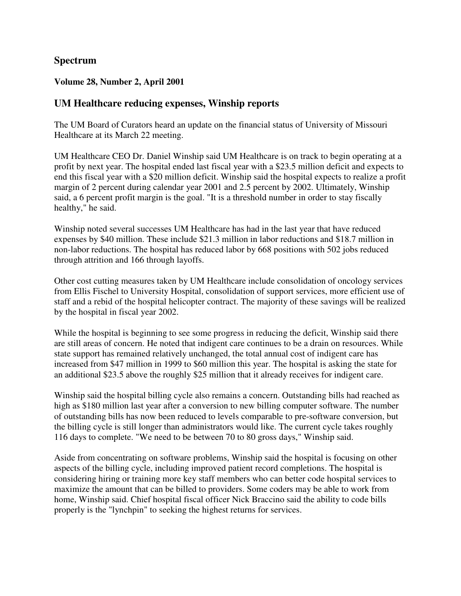## **Spectrum**

#### **Volume 28, Number 2, April 2001**

#### **UM Healthcare reducing expenses, Winship reports**

The UM Board of Curators heard an update on the financial status of University of Missouri Healthcare at its March 22 meeting.

UM Healthcare CEO Dr. Daniel Winship said UM Healthcare is on track to begin operating at a profit by next year. The hospital ended last fiscal year with a \$23.5 million deficit and expects to end this fiscal year with a \$20 million deficit. Winship said the hospital expects to realize a profit margin of 2 percent during calendar year 2001 and 2.5 percent by 2002. Ultimately, Winship said, a 6 percent profit margin is the goal. "It is a threshold number in order to stay fiscally healthy," he said.

Winship noted several successes UM Healthcare has had in the last year that have reduced expenses by \$40 million. These include \$21.3 million in labor reductions and \$18.7 million in non-labor reductions. The hospital has reduced labor by 668 positions with 502 jobs reduced through attrition and 166 through layoffs.

Other cost cutting measures taken by UM Healthcare include consolidation of oncology services from Ellis Fischel to University Hospital, consolidation of support services, more efficient use of staff and a rebid of the hospital helicopter contract. The majority of these savings will be realized by the hospital in fiscal year 2002.

While the hospital is beginning to see some progress in reducing the deficit, Winship said there are still areas of concern. He noted that indigent care continues to be a drain on resources. While state support has remained relatively unchanged, the total annual cost of indigent care has increased from \$47 million in 1999 to \$60 million this year. The hospital is asking the state for an additional \$23.5 above the roughly \$25 million that it already receives for indigent care.

Winship said the hospital billing cycle also remains a concern. Outstanding bills had reached as high as \$180 million last year after a conversion to new billing computer software. The number of outstanding bills has now been reduced to levels comparable to pre-software conversion, but the billing cycle is still longer than administrators would like. The current cycle takes roughly 116 days to complete. "We need to be between 70 to 80 gross days," Winship said.

Aside from concentrating on software problems, Winship said the hospital is focusing on other aspects of the billing cycle, including improved patient record completions. The hospital is considering hiring or training more key staff members who can better code hospital services to maximize the amount that can be billed to providers. Some coders may be able to work from home, Winship said. Chief hospital fiscal officer Nick Braccino said the ability to code bills properly is the "lynchpin" to seeking the highest returns for services.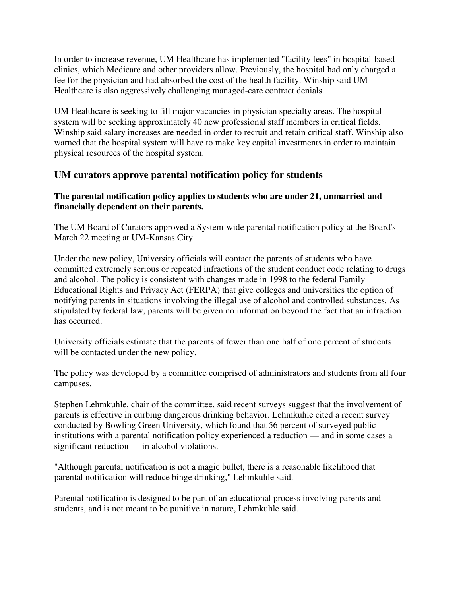In order to increase revenue, UM Healthcare has implemented "facility fees" in hospital-based clinics, which Medicare and other providers allow. Previously, the hospital had only charged a fee for the physician and had absorbed the cost of the health facility. Winship said UM Healthcare is also aggressively challenging managed-care contract denials.

UM Healthcare is seeking to fill major vacancies in physician specialty areas. The hospital system will be seeking approximately 40 new professional staff members in critical fields. Winship said salary increases are needed in order to recruit and retain critical staff. Winship also warned that the hospital system will have to make key capital investments in order to maintain physical resources of the hospital system.

# **UM curators approve parental notification policy for students**

#### **The parental notification policy applies to students who are under 21, unmarried and financially dependent on their parents.**

The UM Board of Curators approved a System-wide parental notification policy at the Board's March 22 meeting at UM-Kansas City.

Under the new policy, University officials will contact the parents of students who have committed extremely serious or repeated infractions of the student conduct code relating to drugs and alcohol. The policy is consistent with changes made in 1998 to the federal Family Educational Rights and Privacy Act (FERPA) that give colleges and universities the option of notifying parents in situations involving the illegal use of alcohol and controlled substances. As stipulated by federal law, parents will be given no information beyond the fact that an infraction has occurred.

University officials estimate that the parents of fewer than one half of one percent of students will be contacted under the new policy.

The policy was developed by a committee comprised of administrators and students from all four campuses.

Stephen Lehmkuhle, chair of the committee, said recent surveys suggest that the involvement of parents is effective in curbing dangerous drinking behavior. Lehmkuhle cited a recent survey conducted by Bowling Green University, which found that 56 percent of surveyed public institutions with a parental notification policy experienced a reduction — and in some cases a significant reduction — in alcohol violations.

"Although parental notification is not a magic bullet, there is a reasonable likelihood that parental notification will reduce binge drinking," Lehmkuhle said.

Parental notification is designed to be part of an educational process involving parents and students, and is not meant to be punitive in nature, Lehmkuhle said.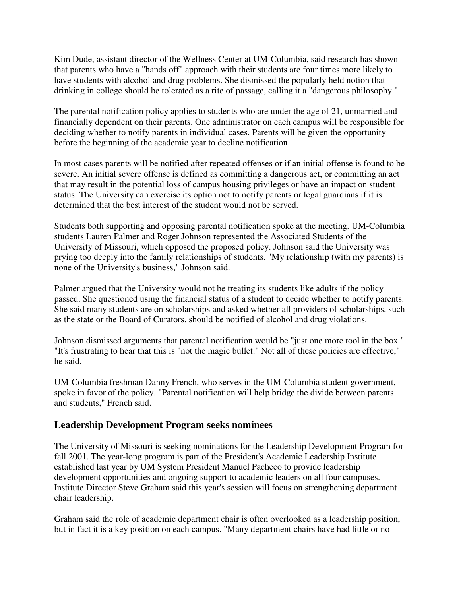Kim Dude, assistant director of the Wellness Center at UM-Columbia, said research has shown that parents who have a "hands off" approach with their students are four times more likely to have students with alcohol and drug problems. She dismissed the popularly held notion that drinking in college should be tolerated as a rite of passage, calling it a "dangerous philosophy."

The parental notification policy applies to students who are under the age of 21, unmarried and financially dependent on their parents. One administrator on each campus will be responsible for deciding whether to notify parents in individual cases. Parents will be given the opportunity before the beginning of the academic year to decline notification.

In most cases parents will be notified after repeated offenses or if an initial offense is found to be severe. An initial severe offense is defined as committing a dangerous act, or committing an act that may result in the potential loss of campus housing privileges or have an impact on student status. The University can exercise its option not to notify parents or legal guardians if it is determined that the best interest of the student would not be served.

Students both supporting and opposing parental notification spoke at the meeting. UM-Columbia students Lauren Palmer and Roger Johnson represented the Associated Students of the University of Missouri, which opposed the proposed policy. Johnson said the University was prying too deeply into the family relationships of students. "My relationship (with my parents) is none of the University's business," Johnson said.

Palmer argued that the University would not be treating its students like adults if the policy passed. She questioned using the financial status of a student to decide whether to notify parents. She said many students are on scholarships and asked whether all providers of scholarships, such as the state or the Board of Curators, should be notified of alcohol and drug violations.

Johnson dismissed arguments that parental notification would be "just one more tool in the box." "It's frustrating to hear that this is "not the magic bullet." Not all of these policies are effective," he said.

UM-Columbia freshman Danny French, who serves in the UM-Columbia student government, spoke in favor of the policy. "Parental notification will help bridge the divide between parents and students," French said.

## **Leadership Development Program seeks nominees**

The University of Missouri is seeking nominations for the Leadership Development Program for fall 2001. The year-long program is part of the President's Academic Leadership Institute established last year by UM System President Manuel Pacheco to provide leadership development opportunities and ongoing support to academic leaders on all four campuses. Institute Director Steve Graham said this year's session will focus on strengthening department chair leadership.

Graham said the role of academic department chair is often overlooked as a leadership position, but in fact it is a key position on each campus. "Many department chairs have had little or no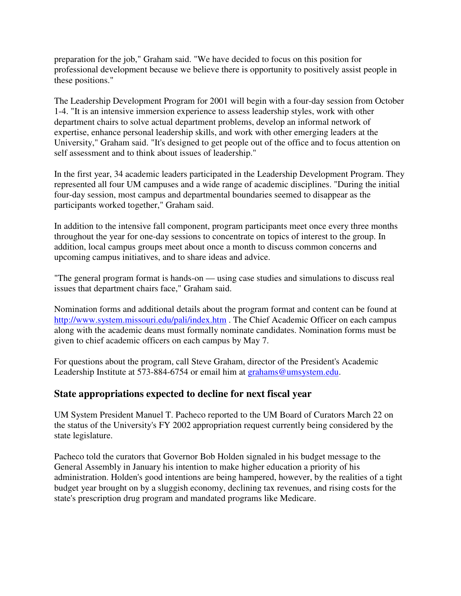preparation for the job," Graham said. "We have decided to focus on this position for professional development because we believe there is opportunity to positively assist people in these positions."

The Leadership Development Program for 2001 will begin with a four-day session from October 1-4. "It is an intensive immersion experience to assess leadership styles, work with other department chairs to solve actual department problems, develop an informal network of expertise, enhance personal leadership skills, and work with other emerging leaders at the University," Graham said. "It's designed to get people out of the office and to focus attention on self assessment and to think about issues of leadership."

In the first year, 34 academic leaders participated in the Leadership Development Program. They represented all four UM campuses and a wide range of academic disciplines. "During the initial four-day session, most campus and departmental boundaries seemed to disappear as the participants worked together," Graham said.

In addition to the intensive fall component, program participants meet once every three months throughout the year for one-day sessions to concentrate on topics of interest to the group. In addition, local campus groups meet about once a month to discuss common concerns and upcoming campus initiatives, and to share ideas and advice.

"The general program format is hands-on — using case studies and simulations to discuss real issues that department chairs face," Graham said.

Nomination forms and additional details about the program format and content can be found at http://www.system.missouri.edu/pali/index.htm . The Chief Academic Officer on each campus along with the academic deans must formally nominate candidates. Nomination forms must be given to chief academic officers on each campus by May 7.

For questions about the program, call Steve Graham, director of the President's Academic Leadership Institute at 573-884-6754 or email him at grahams@umsystem.edu.

## **State appropriations expected to decline for next fiscal year**

UM System President Manuel T. Pacheco reported to the UM Board of Curators March 22 on the status of the University's FY 2002 appropriation request currently being considered by the state legislature.

Pacheco told the curators that Governor Bob Holden signaled in his budget message to the General Assembly in January his intention to make higher education a priority of his administration. Holden's good intentions are being hampered, however, by the realities of a tight budget year brought on by a sluggish economy, declining tax revenues, and rising costs for the state's prescription drug program and mandated programs like Medicare.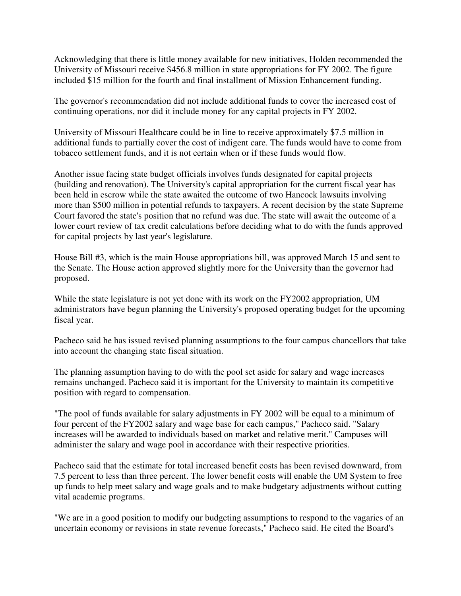Acknowledging that there is little money available for new initiatives, Holden recommended the University of Missouri receive \$456.8 million in state appropriations for FY 2002. The figure included \$15 million for the fourth and final installment of Mission Enhancement funding.

The governor's recommendation did not include additional funds to cover the increased cost of continuing operations, nor did it include money for any capital projects in FY 2002.

University of Missouri Healthcare could be in line to receive approximately \$7.5 million in additional funds to partially cover the cost of indigent care. The funds would have to come from tobacco settlement funds, and it is not certain when or if these funds would flow.

Another issue facing state budget officials involves funds designated for capital projects (building and renovation). The University's capital appropriation for the current fiscal year has been held in escrow while the state awaited the outcome of two Hancock lawsuits involving more than \$500 million in potential refunds to taxpayers. A recent decision by the state Supreme Court favored the state's position that no refund was due. The state will await the outcome of a lower court review of tax credit calculations before deciding what to do with the funds approved for capital projects by last year's legislature.

House Bill #3, which is the main House appropriations bill, was approved March 15 and sent to the Senate. The House action approved slightly more for the University than the governor had proposed.

While the state legislature is not yet done with its work on the FY2002 appropriation, UM administrators have begun planning the University's proposed operating budget for the upcoming fiscal year.

Pacheco said he has issued revised planning assumptions to the four campus chancellors that take into account the changing state fiscal situation.

The planning assumption having to do with the pool set aside for salary and wage increases remains unchanged. Pacheco said it is important for the University to maintain its competitive position with regard to compensation.

"The pool of funds available for salary adjustments in FY 2002 will be equal to a minimum of four percent of the FY2002 salary and wage base for each campus," Pacheco said. "Salary increases will be awarded to individuals based on market and relative merit." Campuses will administer the salary and wage pool in accordance with their respective priorities.

Pacheco said that the estimate for total increased benefit costs has been revised downward, from 7.5 percent to less than three percent. The lower benefit costs will enable the UM System to free up funds to help meet salary and wage goals and to make budgetary adjustments without cutting vital academic programs.

"We are in a good position to modify our budgeting assumptions to respond to the vagaries of an uncertain economy or revisions in state revenue forecasts," Pacheco said. He cited the Board's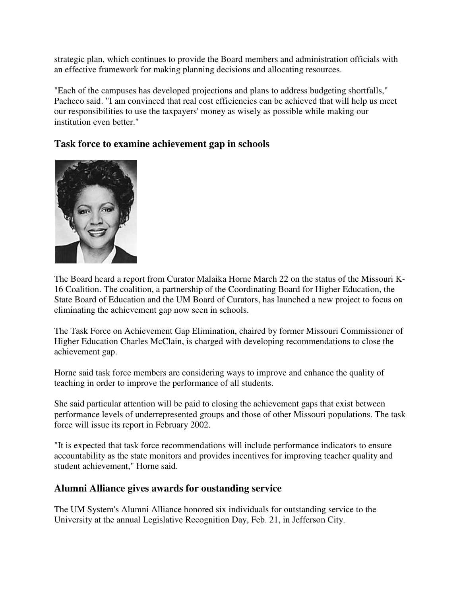strategic plan, which continues to provide the Board members and administration officials with an effective framework for making planning decisions and allocating resources.

"Each of the campuses has developed projections and plans to address budgeting shortfalls," Pacheco said. "I am convinced that real cost efficiencies can be achieved that will help us meet our responsibilities to use the taxpayers' money as wisely as possible while making our institution even better."

# **Task force to examine achievement gap in schools**



The Board heard a report from Curator Malaika Horne March 22 on the status of the Missouri K-16 Coalition. The coalition, a partnership of the Coordinating Board for Higher Education, the State Board of Education and the UM Board of Curators, has launched a new project to focus on eliminating the achievement gap now seen in schools.

The Task Force on Achievement Gap Elimination, chaired by former Missouri Commissioner of Higher Education Charles McClain, is charged with developing recommendations to close the achievement gap.

Horne said task force members are considering ways to improve and enhance the quality of teaching in order to improve the performance of all students.

She said particular attention will be paid to closing the achievement gaps that exist between performance levels of underrepresented groups and those of other Missouri populations. The task force will issue its report in February 2002.

"It is expected that task force recommendations will include performance indicators to ensure accountability as the state monitors and provides incentives for improving teacher quality and student achievement," Horne said.

# **Alumni Alliance gives awards for oustanding service**

The UM System's Alumni Alliance honored six individuals for outstanding service to the University at the annual Legislative Recognition Day, Feb. 21, in Jefferson City.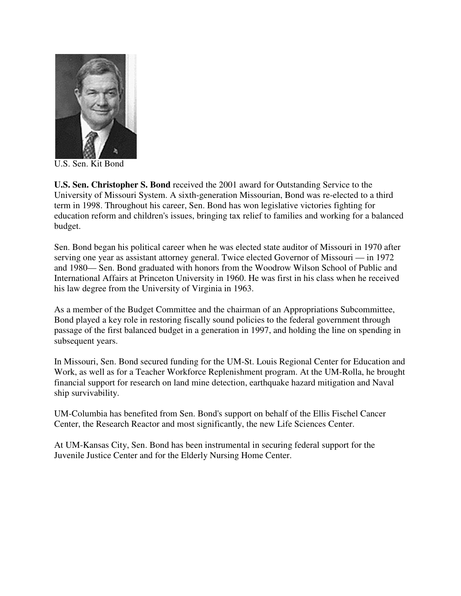

U.S. Sen. Kit Bond

**U.S. Sen. Christopher S. Bond** received the 2001 award for Outstanding Service to the University of Missouri System. A sixth-generation Missourian, Bond was re-elected to a third term in 1998. Throughout his career, Sen. Bond has won legislative victories fighting for education reform and children's issues, bringing tax relief to families and working for a balanced budget.

Sen. Bond began his political career when he was elected state auditor of Missouri in 1970 after serving one year as assistant attorney general. Twice elected Governor of Missouri — in 1972 and 1980— Sen. Bond graduated with honors from the Woodrow Wilson School of Public and International Affairs at Princeton University in 1960. He was first in his class when he received his law degree from the University of Virginia in 1963.

As a member of the Budget Committee and the chairman of an Appropriations Subcommittee, Bond played a key role in restoring fiscally sound policies to the federal government through passage of the first balanced budget in a generation in 1997, and holding the line on spending in subsequent years.

In Missouri, Sen. Bond secured funding for the UM-St. Louis Regional Center for Education and Work, as well as for a Teacher Workforce Replenishment program. At the UM-Rolla, he brought financial support for research on land mine detection, earthquake hazard mitigation and Naval ship survivability.

UM-Columbia has benefited from Sen. Bond's support on behalf of the Ellis Fischel Cancer Center, the Research Reactor and most significantly, the new Life Sciences Center.

At UM-Kansas City, Sen. Bond has been instrumental in securing federal support for the Juvenile Justice Center and for the Elderly Nursing Home Center.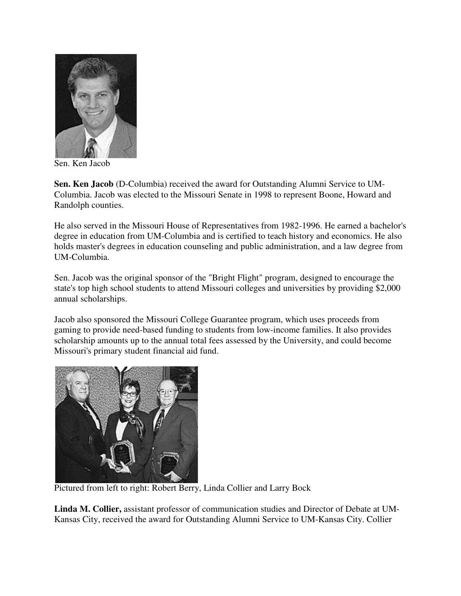

Sen. Ken Jacob

**Sen. Ken Jacob** (D-Columbia) received the award for Outstanding Alumni Service to UM-Columbia. Jacob was elected to the Missouri Senate in 1998 to represent Boone, Howard and Randolph counties.

He also served in the Missouri House of Representatives from 1982-1996. He earned a bachelor's degree in education from UM-Columbia and is certified to teach history and economics. He also holds master's degrees in education counseling and public administration, and a law degree from UM-Columbia.

Sen. Jacob was the original sponsor of the "Bright Flight" program, designed to encourage the state's top high school students to attend Missouri colleges and universities by providing \$2,000 annual scholarships.

Jacob also sponsored the Missouri College Guarantee program, which uses proceeds from gaming to provide need-based funding to students from low-income families. It also provides scholarship amounts up to the annual total fees assessed by the University, and could become Missouri's primary student financial aid fund.



Pictured from left to right: Robert Berry, Linda Collier and Larry Bock

**Linda M. Collier,** assistant professor of communication studies and Director of Debate at UM-Kansas City, received the award for Outstanding Alumni Service to UM-Kansas City. Collier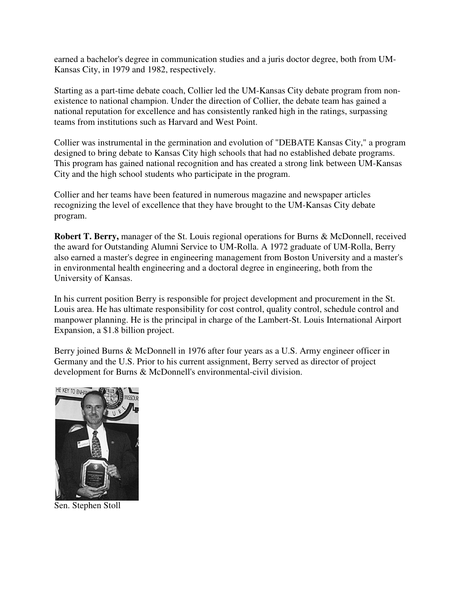earned a bachelor's degree in communication studies and a juris doctor degree, both from UM-Kansas City, in 1979 and 1982, respectively.

Starting as a part-time debate coach, Collier led the UM-Kansas City debate program from nonexistence to national champion. Under the direction of Collier, the debate team has gained a national reputation for excellence and has consistently ranked high in the ratings, surpassing teams from institutions such as Harvard and West Point.

Collier was instrumental in the germination and evolution of "DEBATE Kansas City," a program designed to bring debate to Kansas City high schools that had no established debate programs. This program has gained national recognition and has created a strong link between UM-Kansas City and the high school students who participate in the program.

Collier and her teams have been featured in numerous magazine and newspaper articles recognizing the level of excellence that they have brought to the UM-Kansas City debate program.

**Robert T. Berry,** manager of the St. Louis regional operations for Burns & McDonnell, received the award for Outstanding Alumni Service to UM-Rolla. A 1972 graduate of UM-Rolla, Berry also earned a master's degree in engineering management from Boston University and a master's in environmental health engineering and a doctoral degree in engineering, both from the University of Kansas.

In his current position Berry is responsible for project development and procurement in the St. Louis area. He has ultimate responsibility for cost control, quality control, schedule control and manpower planning. He is the principal in charge of the Lambert-St. Louis International Airport Expansion, a \$1.8 billion project.

Berry joined Burns & McDonnell in 1976 after four years as a U.S. Army engineer officer in Germany and the U.S. Prior to his current assignment, Berry served as director of project development for Burns & McDonnell's environmental-civil division.



Sen. Stephen Stoll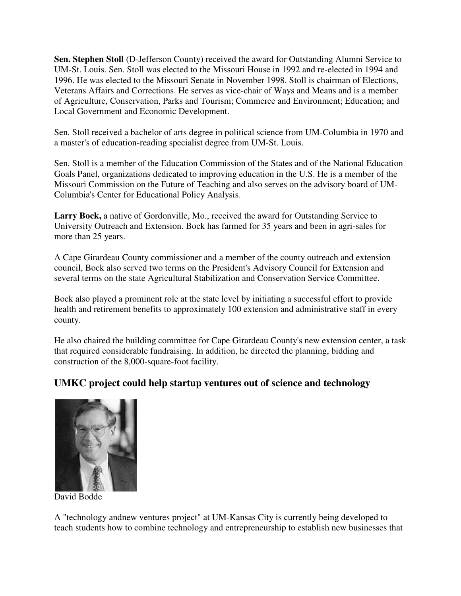**Sen. Stephen Stoll** (D-Jefferson County) received the award for Outstanding Alumni Service to UM-St. Louis. Sen. Stoll was elected to the Missouri House in 1992 and re-elected in 1994 and 1996. He was elected to the Missouri Senate in November 1998. Stoll is chairman of Elections, Veterans Affairs and Corrections. He serves as vice-chair of Ways and Means and is a member of Agriculture, Conservation, Parks and Tourism; Commerce and Environment; Education; and Local Government and Economic Development.

Sen. Stoll received a bachelor of arts degree in political science from UM-Columbia in 1970 and a master's of education-reading specialist degree from UM-St. Louis.

Sen. Stoll is a member of the Education Commission of the States and of the National Education Goals Panel, organizations dedicated to improving education in the U.S. He is a member of the Missouri Commission on the Future of Teaching and also serves on the advisory board of UM-Columbia's Center for Educational Policy Analysis.

**Larry Bock,** a native of Gordonville, Mo., received the award for Outstanding Service to University Outreach and Extension. Bock has farmed for 35 years and been in agri-sales for more than 25 years.

A Cape Girardeau County commissioner and a member of the county outreach and extension council, Bock also served two terms on the President's Advisory Council for Extension and several terms on the state Agricultural Stabilization and Conservation Service Committee.

Bock also played a prominent role at the state level by initiating a successful effort to provide health and retirement benefits to approximately 100 extension and administrative staff in every county.

He also chaired the building committee for Cape Girardeau County's new extension center, a task that required considerable fundraising. In addition, he directed the planning, bidding and construction of the 8,000-square-foot facility.

# **UMKC project could help startup ventures out of science and technology**



David Bodde

A "technology andnew ventures project" at UM-Kansas City is currently being developed to teach students how to combine technology and entrepreneurship to establish new businesses that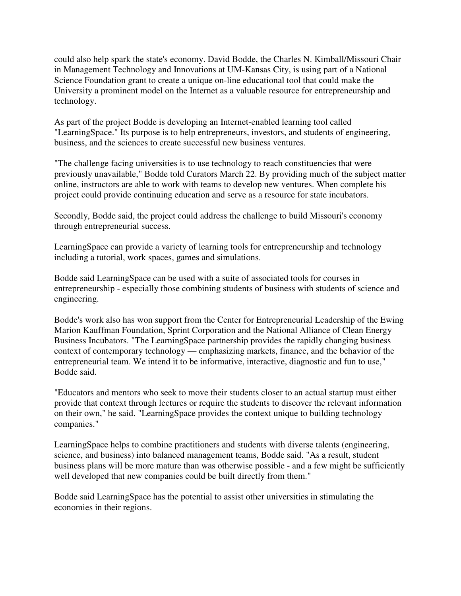could also help spark the state's economy. David Bodde, the Charles N. Kimball/Missouri Chair in Management Technology and Innovations at UM-Kansas City, is using part of a National Science Foundation grant to create a unique on-line educational tool that could make the University a prominent model on the Internet as a valuable resource for entrepreneurship and technology.

As part of the project Bodde is developing an Internet-enabled learning tool called "LearningSpace." Its purpose is to help entrepreneurs, investors, and students of engineering, business, and the sciences to create successful new business ventures.

"The challenge facing universities is to use technology to reach constituencies that were previously unavailable," Bodde told Curators March 22. By providing much of the subject matter online, instructors are able to work with teams to develop new ventures. When complete his project could provide continuing education and serve as a resource for state incubators.

Secondly, Bodde said, the project could address the challenge to build Missouri's economy through entrepreneurial success.

LearningSpace can provide a variety of learning tools for entrepreneurship and technology including a tutorial, work spaces, games and simulations.

Bodde said LearningSpace can be used with a suite of associated tools for courses in entrepreneurship - especially those combining students of business with students of science and engineering.

Bodde's work also has won support from the Center for Entrepreneurial Leadership of the Ewing Marion Kauffman Foundation, Sprint Corporation and the National Alliance of Clean Energy Business Incubators. "The LearningSpace partnership provides the rapidly changing business context of contemporary technology — emphasizing markets, finance, and the behavior of the entrepreneurial team. We intend it to be informative, interactive, diagnostic and fun to use," Bodde said.

"Educators and mentors who seek to move their students closer to an actual startup must either provide that context through lectures or require the students to discover the relevant information on their own," he said. "LearningSpace provides the context unique to building technology companies."

LearningSpace helps to combine practitioners and students with diverse talents (engineering, science, and business) into balanced management teams, Bodde said. "As a result, student business plans will be more mature than was otherwise possible - and a few might be sufficiently well developed that new companies could be built directly from them."

Bodde said LearningSpace has the potential to assist other universities in stimulating the economies in their regions.